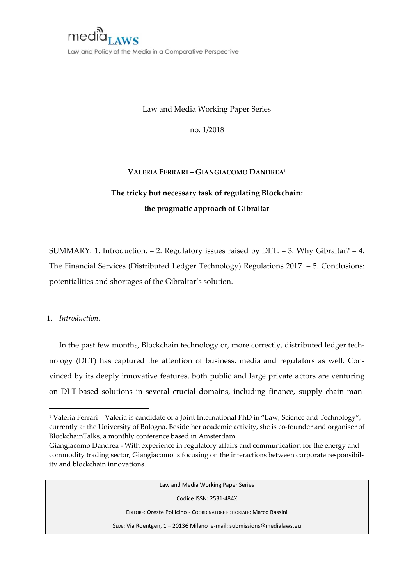

Law and Policy of the Media in a Comparative Perspective

Law and Media Working Paper Series

no. 1/2018

## VALERIA FERRARI - GIANGIACOMO DANDREA<sup>1</sup>

# The tricky but necessary task of regulating Blockchain: the pragmatic approach of Gibraltar

SUMMARY: 1. Introduction.  $-2$ . Regulatory issues raised by DLT.  $-3$ . Why Gibraltar?  $-4$ . The Financial Services (Distributed Ledger Technology) Regulations 2017. - 5. Conclusions: potentialities and shortages of the Gibraltar's solution.

1 Introduction

In the past few months, Blockchain technology or, more correctly, distributed ledger technology (DLT) has captured the attention of business, media and regulators as well. Convinced by its deeply innovative features, both public and large private actors are venturing on DLT-based solutions in several crucial domains, including finance, supply chain man-

Law and Media Working Paper Series

Codice ISSN: 2531-484X

EDITORE: Oreste Pollicino - COORDINATORE EDITORIALE: Marco Bassini

SEDE: Via Roentgen, 1 - 20136 Milano e-mail: submissions@medialaws.eu

<sup>&</sup>lt;sup>1</sup> Valeria Ferrari - Valeria is candidate of a Joint International PhD in "Law, Science and Technology", currently at the University of Bologna. Beside her academic activity, she is co-founder and organiser of BlockchainTalks, a monthly conference based in Amsterdam.

Giangiacomo Dandrea - With experience in regulatory affairs and communication for the energy and commodity trading sector, Giangiacomo is focusing on the interactions between corporate responsibility and blockchain innovations.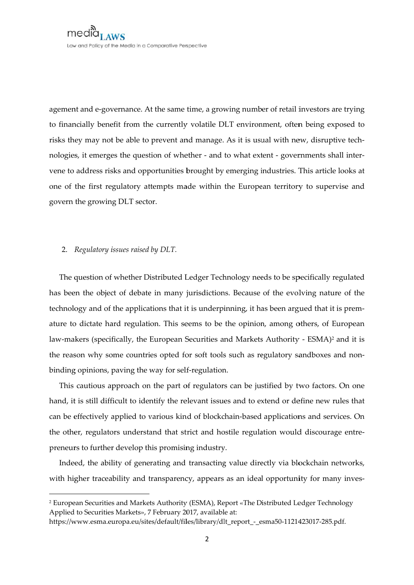agement and e-governance. At the same time, a growing number of retail investors are trying to financially benefit from the currently volatile DLT environment, often being exposed to risks they may not be able to prevent and manage. As it is usual with new, disruptive technologies, it emerges the question of whether - and to what extent - governments shall intervene to address risks and opportunities brought by emerging industries. This article looks at one of the first regulatory attempts made within the European territory to supervise and govern the growing DLT sector.

### 2. Regulatory issues raised by DLT.

The question of whether Distributed Ledger Technology needs to be specifically regulated has been the object of debate in many jurisdictions. Because of the evolving nature of the technology and of the applications that it is underpinning, it has been argued that it is premature to dictate hard regulation. This seems to be the opinion, among others, of European law-makers (specifically, the European Securities and Markets Authority - ESMA)<sup>2</sup> and it is the reason why some countries opted for soft tools such as regulatory sandboxes and nonbinding opinions, paving the way for self-regulation.

This cautious approach on the part of regulators can be justified by two factors. On one hand, it is still difficult to identify the relevant issues and to extend or define new rules that can be effectively applied to various kind of blockchain-based applications and services. On the other, regulators understand that strict and hostile regulation would discourage entrepreneurs to further develop this promising industry.

Indeed, the ability of generating and transacting value directly via blockchain networks, with higher traceability and transparency, appears as an ideal opportunity for many inves-

<sup>&</sup>lt;sup>2</sup> European Securities and Markets Authority (ESMA), Report «The Distributed Ledger Technology Applied to Securities Markets», 7 February 2017, available at:

https://www.esma.europa.eu/sites/default/files/library/dlt report - esma50-1121423017-285.pdf.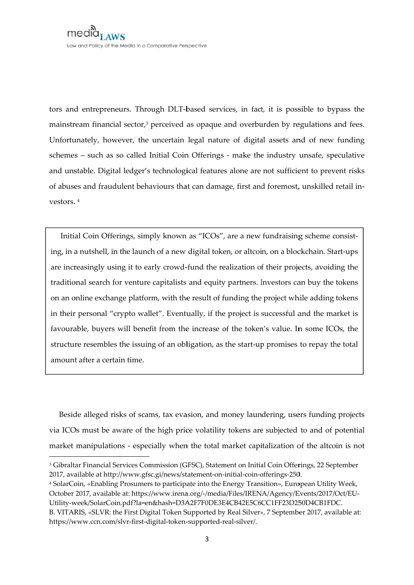tors and entrepreneurs. Through DLT-based services, in fact, it is possible to bypass the mainstream financial sector,<sup>3</sup> perceived as opaque and overburden by regulations and fees. Unfortunately, however, the uncertain legal nature of digital assets and of new funding schemes - such as so called Initial Coin Offerings - make the industry unsafe, speculative and unstable. Digital ledger's technological features alone are not sufficient to prevent risks of abuses and fraudulent behaviours that can damage, first and foremost, unskilled retail investors.  $4$ 

Initial Coin Offerings, simply known as "ICOs", are a new fundraising scheme consisting, in a nutshell, in the launch of a new digital token, or altcoin, on a blockchain. Start-ups are increasingly using it to early crowd-fund the realization of their projects, avoiding the traditional search for venture capitalists and equity partners. Investors can buy the tokens on an online exchange platform, with the result of funding the project while adding tokens in their personal "crypto wallet". Eventually, if the project is successful and the market is favourable, buyers will benefit from the increase of the token's value. In some ICOs, the structure resembles the issuing of an obligation, as the start-up promises to repay the total amount after a certain time.

Beside alleged risks of scams, tax evasion, and money laundering, users funding projects via ICOs must be aware of the high price volatility tokens are subjected to and of potential market manipulations - especially when the total market capitalization of the alteoin is not

<sup>4</sup> SolarCoin, «Enabling Prosumers to participate into the Energy Transition», European Utility Week, October 2017, available at: https://www.irena.org/-/media/Files/IRENA/Agency/Events/2017/Oct/EU-Utility-week/SolarCoin.pdf?la=en&hash=D3A2F7F0DE3E4CB42E5C6CC1FF23D250D4CB1FDC.

<sup>&</sup>lt;sup>3</sup> Gibraltar Financial Services Commission (GFSC), Statement on Initial Coin Offerings, 22 September 2017, available at http://www.gfsc.gi/news/statement-on-initial-coin-offerings-250.

B. VITARIS, «SLVR: the First Digital Token Supported by Real Silver», 7 September 2017, available at: https://www.ccn.com/slvr-first-digital-token-supported-real-silver/.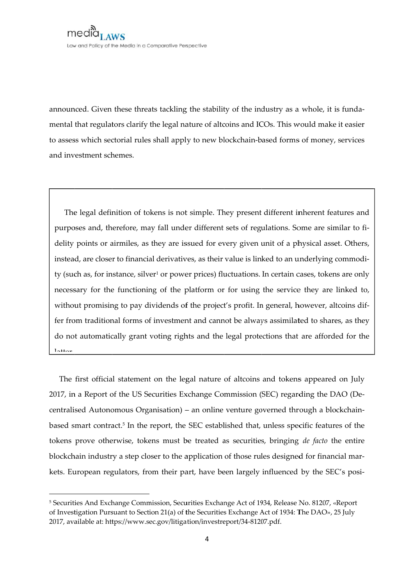announced. Given these threats tackling the stability of the industry as a whole, it is fundamental that regulators clarify the legal nature of altcoins and ICOs. This would make it easier to assess which sectorial rules shall apply to new blockchain-based forms of money, services and investment schemes.

The legal definition of tokens is not simple. They present different inherent features and purposes and, therefore, may fall under different sets of regulations. Some are similar to fidelity points or airmiles, as they are issued for every given unit of a physical asset. Others, instead, are closer to financial derivatives, as their value is linked to an underlying commodity (such as, for instance, silver<sup>1</sup> or power prices) fluctuations. In certain cases, tokens are only necessary for the functioning of the platform or for using the service they are linked to, without promising to pay dividends of the project's profit. In general, however, altcoins differ from traditional forms of investment and cannot be always assimilated to shares, as they do not automatically grant voting rights and the legal protections that are afforded for the  $1<sub>0</sub>++<sub>0</sub>$ 

The first official statement on the legal nature of altcoins and tokens appeared on July 2017, in a Report of the US Securities Exchange Commission (SEC) regarding the DAO (Decentralised Autonomous Organisation) – an online venture governed through a blockchainbased smart contract.<sup>5</sup> In the report, the SEC established that, unless specific features of the tokens prove otherwise, tokens must be treated as securities, bringing de facto the entire blockchain industry a step closer to the application of those rules designed for financial markets. European regulators, from their part, have been largely influenced by the SEC's posi-

<sup>&</sup>lt;sup>5</sup> Securities And Exchange Commission, Securities Exchange Act of 1934, Release No. 81207, «Report of Investigation Pursuant to Section 21(a) of the Securities Exchange Act of 1934: The DAO», 25 July 2017, available at: https://www.sec.gov/litigation/investreport/34-81207.pdf.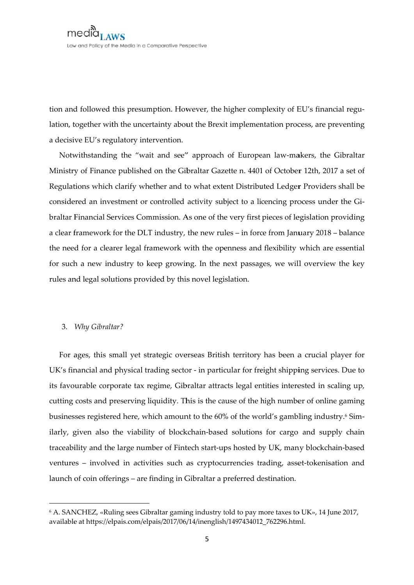tion and followed this presumption. However, the higher complexity of EU's financial regulation, together with the uncertainty about the Brexit implementation process, are preventing a decisive EU's regulatory intervention.

Notwithstanding the "wait and see" approach of European law-makers, the Gibraltar Ministry of Finance published on the Gibraltar Gazette n. 4401 of October 12th, 2017 a set of Regulations which clarify whether and to what extent Distributed Ledger Providers shall be considered an investment or controlled activity subject to a licencing process under the Gibraltar Financial Services Commission. As one of the very first pieces of legislation providing a clear framework for the DLT industry, the new rules - in force from January 2018 - balance the need for a clearer legal framework with the openness and flexibility which are essential for such a new industry to keep growing. In the next passages, we will overview the key rules and legal solutions provided by this novel legislation.

### 3. Why Gibraltar?

For ages, this small yet strategic overseas British territory has been a crucial player for UK's financial and physical trading sector - in particular for freight shipping services. Due to its favourable corporate tax regime, Gibraltar attracts legal entities interested in scaling up, cutting costs and preserving liquidity. This is the cause of the high number of online gaming businesses registered here, which amount to the 60% of the world's gambling industry.<sup>6</sup> Similarly, given also the viability of blockchain-based solutions for cargo and supply chain traceability and the large number of Fintech start-ups hosted by UK, many blockchain-based ventures - involved in activities such as cryptocurrencies trading, asset-tokenisation and launch of coin offerings - are finding in Gibraltar a preferred destination.

<sup>&</sup>lt;sup>6</sup> A. SANCHEZ, «Ruling sees Gibraltar gaming industry told to pay more taxes to UK», 14 June 2017, available at https://elpais.com/elpais/2017/06/14/inenglish/1497434012 762296.html.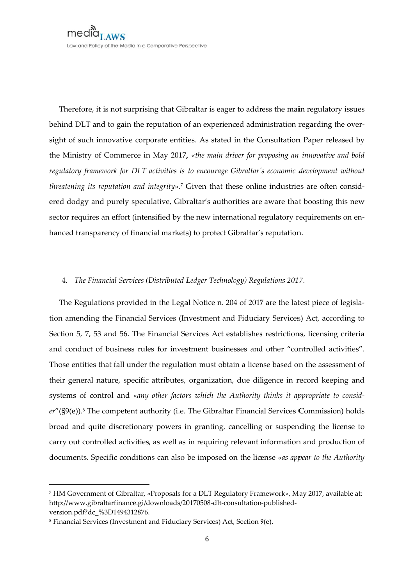Therefore, it is not surprising that Gibraltar is eager to address the main regulatory issues behind DLT and to gain the reputation of an experienced administration regarding the oversight of such innovative corporate entities. As stated in the Consultation Paper released by the Ministry of Commerce in May 2017, «the main driver for proposing an innovative and bold regulatory framework for DLT activities is to encourage Gibraltar's economic development without threatening its reputation and integrity».<sup>7</sup> Given that these online industries are often considered dodgy and purely speculative, Gibraltar's authorities are aware that boosting this new sector requires an effort (intensified by the new international regulatory requirements on enhanced transparency of financial markets) to protect Gibraltar's reputation.

#### 4. The Financial Services (Distributed Ledger Technology) Regulations 2017.

The Regulations provided in the Legal Notice n. 204 of 2017 are the latest piece of legislation amending the Financial Services (Investment and Fiduciary Services) Act, according to Section 5, 7, 53 and 56. The Financial Services Act establishes restrictions, licensing criteria and conduct of business rules for investment businesses and other "controlled activities". Those entities that fall under the regulation must obtain a license based on the assessment of their general nature, specific attributes, organization, due diligence in record keeping and systems of control and «any other factors which the Authority thinks it appropriate to consid $er''(\S9(e))$ .<sup>8</sup> The competent authority (i.e. The Gibraltar Financial Services Commission) holds broad and quite discretionary powers in granting, cancelling or suspending the license to carry out controlled activities, as well as in requiring relevant information and production of documents. Specific conditions can also be imposed on the license «as appear to the Authority

<sup>7</sup> HM Government of Gibraltar, «Proposals for a DLT Regulatory Framework», May 2017, available at: http://www.gibraltarfinance.gi/downloads/20170508-dlt-consultation-publishedversion.pdf?dc %3D1494312876.

<sup>&</sup>lt;sup>8</sup> Financial Services (Investment and Fiduciary Services) Act, Section 9(e).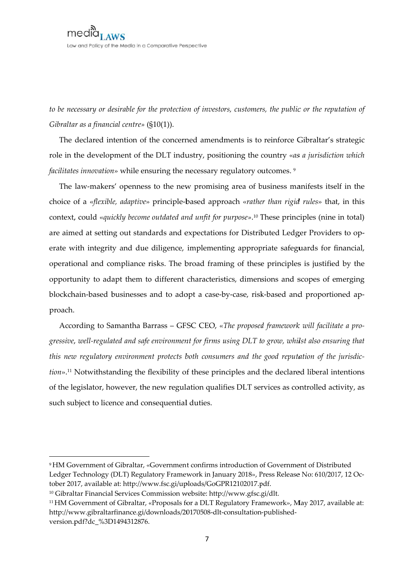to be necessary or desirable for the protection of investors, customers, the public or the reputation of Gibraltar as a financial centre»  $(S10(1))$ .

The declared intention of the concerned amendments is to reinforce Gibraltar's strategic role in the development of the DLT industry, positioning the country «as a jurisdiction which facilitates innovation» while ensuring the necessary regulatory outcomes.<sup>9</sup>

The law-makers' openness to the new promising area of business manifests itself in the choice of a «*flexible*, *adaptive*» principle-based approach «*rather than rigid rules*» that, in this context, could «quickly become outdated and unfit for purpose».<sup>10</sup> These principles (nine in total) are aimed at setting out standards and expectations for Distributed Ledger Providers to operate with integrity and due diligence, implementing appropriate safeguards for financial, operational and compliance risks. The broad framing of these principles is justified by the opportunity to adapt them to different characteristics, dimensions and scopes of emerging blockchain-based businesses and to adopt a case-by-case, risk-based and proportioned approach.

According to Samantha Barrass – GFSC CEO, «The proposed framework will facilitate a progressive, well-regulated and safe environment for firms using DLT to grow, whilst also ensuring that this new regulatory environment protects both consumers and the good reputation of the jurisdiction».<sup>11</sup> Notwithstanding the flexibility of these principles and the declared liberal intentions of the legislator, however, the new regulation qualifies DLT services as controlled activity, as such subject to licence and consequential duties.

<sup>&</sup>lt;sup>9</sup> HM Government of Gibraltar, «Government confirms introduction of Government of Distributed Ledger Technology (DLT) Regulatory Framework in January 2018», Press Release No: 610/2017, 12 October 2017, available at: http://www.fsc.gi/uploads/GoGPR12102017.pdf.

<sup>&</sup>lt;sup>10</sup> Gibraltar Financial Services Commission website: http://www.gfsc.gi/dlt.

<sup>&</sup>lt;sup>11</sup> HM Government of Gibraltar, «Proposals for a DLT Regulatory Framework», May 2017, available at: http://www.gibraltarfinance.gi/downloads/20170508-dlt-consultation-publishedversion.pdf?dc %3D1494312876.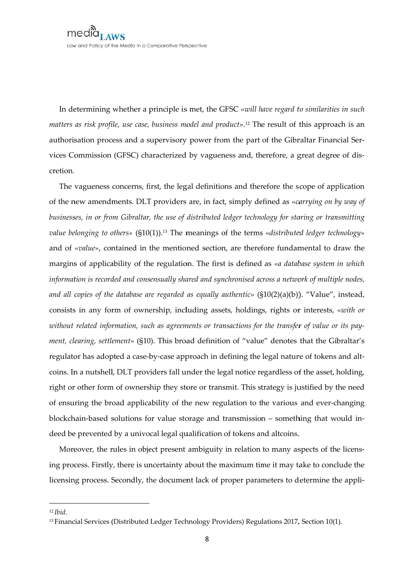In determining whether a principle is met, the GFSC «will have regard to similarities in such matters as risk profile, use case, business model and product».<sup>12</sup> The result of this approach is an authorisation process and a supervisory power from the part of the Gibraltar Financial Services Commission (GFSC) characterized by vagueness and, therefore, a great degree of discretion.

The vagueness concerns, first, the legal definitions and therefore the scope of application of the new amendments. DLT providers are, in fact, simply defined as «carrying on by way of businesses, in or from Gibraltar, the use of distributed ledger technology for storing or transmitting value belonging to others»  $(S10(1))$ .<sup>13</sup> The meanings of the terms «distributed ledger technology» and of «value», contained in the mentioned section, are therefore fundamental to draw the margins of applicability of the regulation. The first is defined as «a database system in which information is recorded and consensually shared and synchronised across a network of multiple nodes, and all copies of the database are regarded as equally authentic»  $(\$10(2)(a)(b))$ . "Value", instead, consists in any form of ownership, including assets, holdings, rights or interests, «with or without related information, such as agreements or transactions for the transfer of value or its payment, clearing, settlement» (§10). This broad definition of "value" denotes that the Gibraltar's regulator has adopted a case-by-case approach in defining the legal nature of tokens and altcoins. In a nutshell, DLT providers fall under the legal notice regardless of the asset, holding, right or other form of ownership they store or transmit. This strategy is justified by the need of ensuring the broad applicability of the new regulation to the various and ever-changing blockchain-based solutions for value storage and transmission - something that would indeed be prevented by a univocal legal qualification of tokens and alteoins.

Moreover, the rules in object present ambiguity in relation to many aspects of the licensing process. Firstly, there is uncertainty about the maximum time it may take to conclude the licensing process. Secondly, the document lack of proper parameters to determine the appli-

 $12$  *Ihid.* 

<sup>&</sup>lt;sup>13</sup> Financial Services (Distributed Ledger Technology Providers) Regulations 2017, Section 10(1).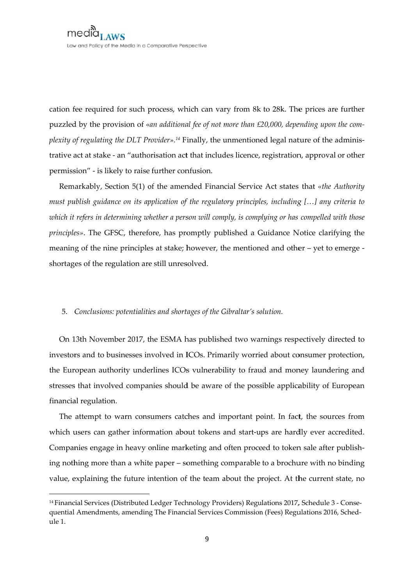cation fee required for such process, which can vary from 8k to 28k. The prices are further puzzled by the provision of «an additional fee of not more than £20,000, depending upon the complexity of regulating the DLT Provider».<sup>14</sup> Finally, the unmentioned legal nature of the administrative act at stake - an "authorisation act that includes licence, registration, approval or other permission" - is likely to raise further confusion.

Remarkably, Section 5(1) of the amended Financial Service Act states that «the Authority must publish guidance on its application of the regulatory principles, including [...] any criteria to which it refers in determining whether a person will comply, is complying or has compelled with those principles». The GFSC, therefore, has promptly published a Guidance Notice clarifying the meaning of the nine principles at stake; however, the mentioned and other – yet to emerge shortages of the regulation are still unresolved.

### 5. Conclusions: potentialities and shortages of the Gibraltar's solution.

On 13th November 2017, the ESMA has published two warnings respectively directed to investors and to businesses involved in ICOs. Primarily worried about consumer protection, the European authority underlines ICOs vulnerability to fraud and money laundering and stresses that involved companies should be aware of the possible applicability of European financial regulation.

The attempt to warn consumers catches and important point. In fact, the sources from which users can gather information about tokens and start-ups are hardly ever accredited. Companies engage in heavy online marketing and often proceed to token sale after publishing nothing more than a white paper – something comparable to a brochure with no binding value, explaining the future intention of the team about the project. At the current state, no

<sup>&</sup>lt;sup>14</sup> Financial Services (Distributed Ledger Technology Providers) Regulations 2017, Schedule 3 - Consequential Amendments, amending The Financial Services Commission (Fees) Regulations 2016, Sched $ule 1.$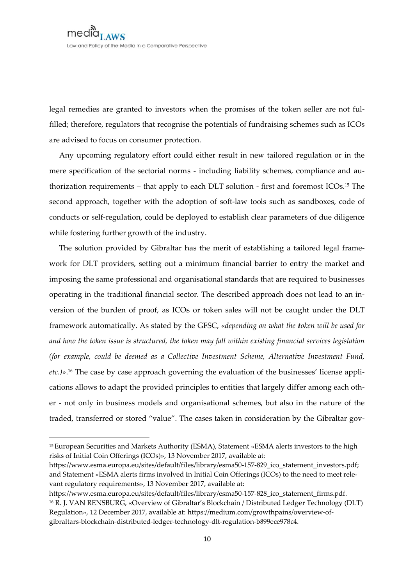legal remedies are granted to investors when the promises of the token seller are not fulfilled; therefore, regulators that recognise the potentials of fundraising schemes such as ICOs are advised to focus on consumer protection.

Any upcoming regulatory effort could either result in new tailored regulation or in the mere specification of the sectorial norms - including liability schemes, compliance and authorization requirements - that apply to each DLT solution - first and foremost ICOs.<sup>15</sup> The second approach, together with the adoption of soft-law tools such as sandboxes, code of conducts or self-regulation, could be deployed to establish clear parameters of due diligence while fostering further growth of the industry.

The solution provided by Gibraltar has the merit of establishing a tailored legal framework for DLT providers, setting out a minimum financial barrier to entry the market and imposing the same professional and organisational standards that are required to businesses operating in the traditional financial sector. The described approach does not lead to an inversion of the burden of proof, as ICOs or token sales will not be caught under the DLT framework automatically. As stated by the GFSC, «depending on what the token will be used for and how the token issue is structured, the token may fall within existing financial services legislation (for example, could be deemed as a Collective Investment Scheme, Alternative Investment Fund, etc.)».<sup>16</sup> The case by case approach governing the evaluation of the businesses' license applications allows to adapt the provided principles to entities that largely differ among each other - not only in business models and organisational schemes, but also in the nature of the traded, transferred or stored "value". The cases taken in consideration by the Gibraltar gov-

<sup>&</sup>lt;sup>15</sup> European Securities and Markets Authority (ESMA), Statement «ESMA alerts investors to the high risks of Initial Coin Offerings (ICOs)», 13 November 2017, available at:

https://www.esma.europa.eu/sites/default/files/library/esma50-157-829\_ico\_statement\_investors.pdf; and Statement «ESMA alerts firms involved in Initial Coin Offerings (ICOs) to the need to meet relevant regulatory requirements», 13 November 2017, available at:

https://www.esma.europa.eu/sites/default/files/library/esma50-157-828\_ico\_statement\_firms.pdf. <sup>16</sup> R. J. VAN RENSBURG, «Overview of Gibraltar's Blockchain / Distributed Ledger Technology (DLT) Regulation», 12 December 2017, available at: https://medium.com/growthpains/overview-ofgibraltars-blockchain-distributed-ledger-technology-dlt-regulation-b899ece978c4.